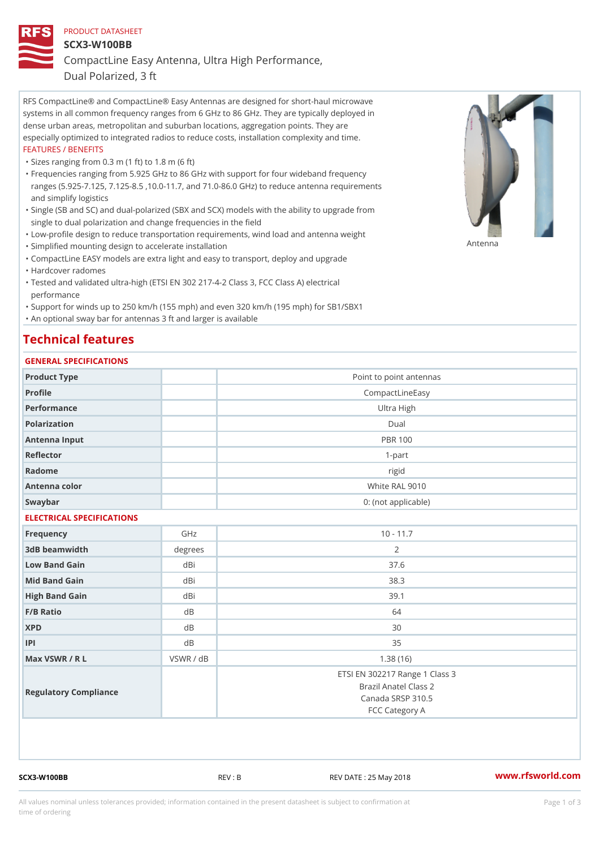## PRODUCT DATASHEET

SCX3-W100BB

CompactLine Easy Antenna, Ultra High Performance,

Dual Polarized, 3 ft

RFS CompactLine® and CompactLine® Easy Antennas are designed for short-haul microwave systems in all common frequency ranges from 6 GHz to 86 GHz. They are typically deployed in dense urban areas, metropolitan and suburban locations, aggregation points. They are especially optimized to integrated radios to reduce costs, installation complexity and time. FEATURES / BENEFITS

"Sizes ranging from 0.3 m (1 ft) to 1.8 m (6 ft)

- Frequencies ranging from 5.925 GHz to 86 GHz with support for four wideband frequency " ranges (5.925-7.125, 7.125-8.5 ,10.0-11.7, and 71.0-86.0 GHz) to reduce antenna requirements and simplify logistics
- Single (SB and SC) and dual-polarized (SBX and SCX) models with the ability to upgrade from " single to dual polarization and change frequencies in the field
- "Low-profile design to reduce transportation requirements, wind load and antenna weight
- "Simplified mounting design to accelerate installation

 "CompactLine EASY models are extra light and easy to transport, deploy and upgrade "Hardcover radomes

Tested and validated ultra-high (ETSI EN 302 217-4-2 Class 3, FCC Class A) electrical " performance

 "Support for winds up to 250 km/h (155 mph) and even 320 km/h (195 mph) for SB1/SBX1 "An optional sway bar for antennas 3 ft and larger is available

## Technical features

## GENERAL SPECIFICATIONS

|                           | OLINLINAL OI LOII IOAIIOINO |                                                                                                |
|---------------------------|-----------------------------|------------------------------------------------------------------------------------------------|
| Product Type              |                             | Point to point antennas                                                                        |
| Profile                   |                             | CompactLineEasy                                                                                |
| Performance               |                             | Ultra High                                                                                     |
| Polarization              |                             | $D$ ual                                                                                        |
| Antenna Input             |                             | <b>PBR 100</b>                                                                                 |
| Reflector                 |                             | $1 - p$ art                                                                                    |
| Radome                    |                             | rigid                                                                                          |
| Antenna color             |                             | White RAL 9010                                                                                 |
| Swaybar                   |                             | 0: (not applicable)                                                                            |
| ELECTRICAL SPECIFICATIONS |                             |                                                                                                |
| Frequency                 | GHz                         | $10 - 11.7$                                                                                    |
| 3dB beamwidth             | degree                      | 2                                                                                              |
| Low Band Gain             | dBi                         | 37.6                                                                                           |
| Mid Band Gain             | dBi                         | 38.3                                                                                           |
| High Band Gain            | dBi                         | 39.1                                                                                           |
| F/B Ratio                 | d <sub>B</sub>              | 64                                                                                             |
| <b>XPD</b>                | d B                         | 30                                                                                             |
| P                         | $d$ B                       | 35                                                                                             |
| Max VSWR / R L            | VSWR / dB                   | 1.38(16)                                                                                       |
| Regulatory Compliance     |                             | ETSI EN 302217 Range 1 Class 3<br>Brazil Anatel Class 2<br>Canada SRSP 310.5<br>FCC Category A |

SCX3-W100BB REV : B REV DATE : 25 May 2018 [www.](https://www.rfsworld.com)rfsworld.com

Antenna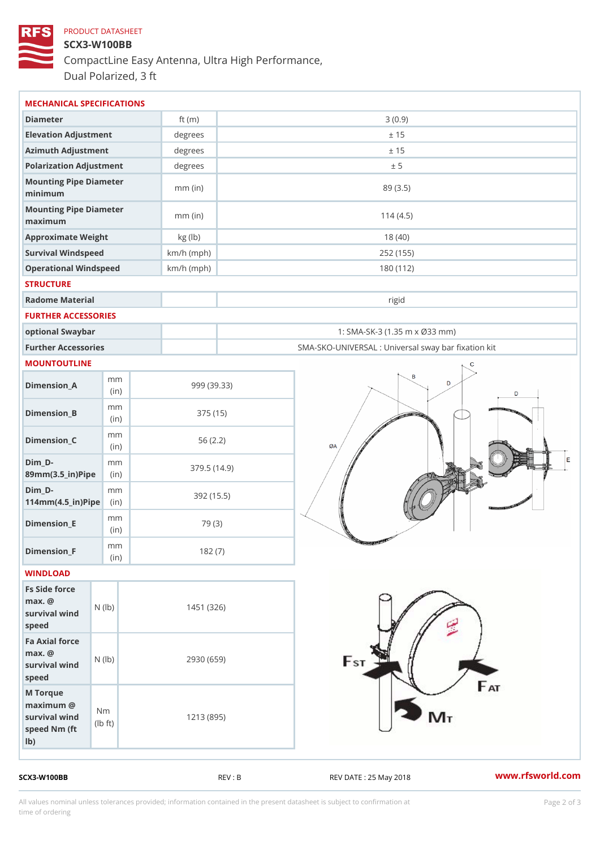## PRODUCT DATASHEET SCX3-W100BB CompactLine Easy Antenna, Ultra High Performance, Dual Polarized, 3 ft

| MECHANICAL SPECIFICATIONS                                                                                      |              |                                                   |
|----------------------------------------------------------------------------------------------------------------|--------------|---------------------------------------------------|
| Diameter                                                                                                       | ft $(m)$     | 3(0.9)                                            |
| Elevation Adjustment                                                                                           | degrees      | ± 15                                              |
| Azimuth Adjustment                                                                                             | degrees      | ± 15                                              |
| Polarization Adjustment                                                                                        | degrees      | ± 5                                               |
| Mounting Pipe Diameter<br>minimum                                                                              | $mm$ (in)    | 89 (3.5)                                          |
| Mounting Pipe Diameter<br>maximum                                                                              | $mm$ (in)    | 114(4.5)                                          |
| Approximate Weight                                                                                             | kg (lb)      | 18(40)                                            |
| Survival Windspeed                                                                                             | $km/h$ (mph) | 252 (155)                                         |
| Operational Windspeed                                                                                          | $km/h$ (mph) | 180 (112)                                         |
| <b>STRUCTURE</b>                                                                                               |              |                                                   |
| Radome Material                                                                                                |              | rigid                                             |
| FURTHER ACCESSORIES                                                                                            |              |                                                   |
| optional Swaybar                                                                                               |              | 1: SMA-SK-3 (1.35 m x Ø33 mm)                     |
| Further Accessories                                                                                            |              | SMA-SKO-UNIVERSAL : Universal sway bar fixation l |
| MOUNTOUTLINE                                                                                                   |              |                                                   |
| m m<br>$Dimension_A$<br>(in)                                                                                   |              | 999 (39.33)                                       |
| m m<br>$Dimension_B$<br>(in)                                                                                   |              | 375(15)                                           |
| m m<br>$Dimension_C$<br>(in)                                                                                   |              | 56(2.2)                                           |
| $Dim_D - D -$<br>m <sub>m</sub><br>89mm (3.5_in) Pi(pine)                                                      |              | 379.5(14.9)                                       |
| $Dim_D - D -$<br>m m<br>$114mm(4.5_{ir})$ $Ri$ p $e$                                                           |              | 392 (15.5)                                        |
| m m<br>$Dimension$ _ $E$<br>(i n)                                                                              |              | 79 (3)                                            |
| m <sub>m</sub><br>$Dimen sion_F$<br>(in)                                                                       |              | 182(7)                                            |
| WINDLOAD                                                                                                       |              |                                                   |
| Fs Side force<br>$max.$ @<br>$(\mathsf{I}\mathsf{b})$<br>survival wind<br>speed                                | 1451 (326)   |                                                   |
| Fa Axial force<br>$max.$ @<br>survival wind (lb)<br>speed                                                      | 2930 (659)   |                                                   |
| M Torque<br>$maximum$ @<br>N <sub>m</sub><br>survival wind<br>l b<br>$\uparrow$ t )<br>speed Nm (ft)<br>$1b$ ) | 1213 (895)   |                                                   |

SCX3-W100BB REV : B REV : REV DATE : 25 May 2018 WWW.rfsworld.com